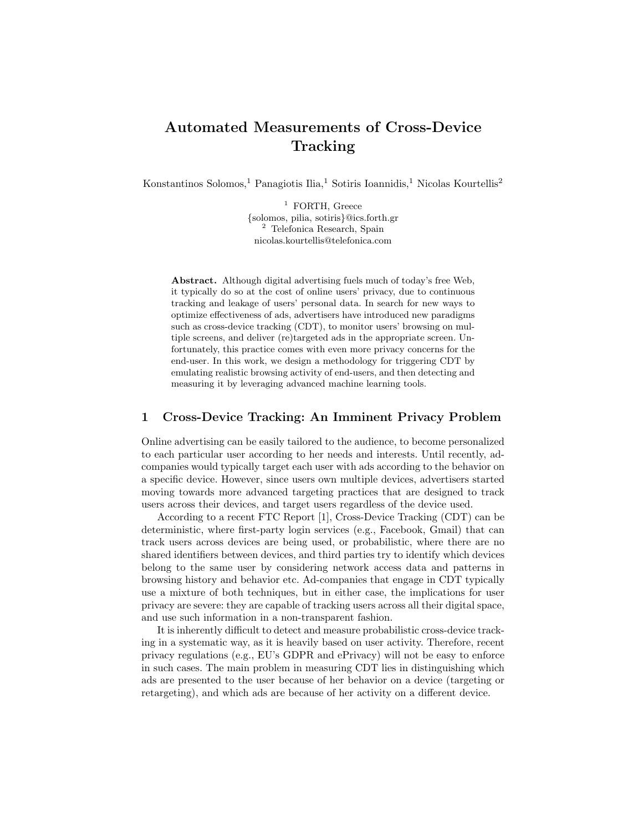# Automated Measurements of Cross-Device Tracking

Konstantinos Solomos,<sup>1</sup> Panagiotis Ilia,<sup>1</sup> Sotiris Ioannidis,<sup>1</sup> Nicolas Kourtellis<sup>2</sup>

<sup>1</sup> FORTH, Greece {solomos, pilia, sotiris}@ics.forth.gr <sup>2</sup> Telefonica Research, Spain nicolas.kourtellis@telefonica.com

Abstract. Although digital advertising fuels much of today's free Web, it typically do so at the cost of online users' privacy, due to continuous tracking and leakage of users' personal data. In search for new ways to optimize effectiveness of ads, advertisers have introduced new paradigms such as cross-device tracking (CDT), to monitor users' browsing on multiple screens, and deliver (re)targeted ads in the appropriate screen. Unfortunately, this practice comes with even more privacy concerns for the end-user. In this work, we design a methodology for triggering CDT by emulating realistic browsing activity of end-users, and then detecting and measuring it by leveraging advanced machine learning tools.

## 1 Cross-Device Tracking: An Imminent Privacy Problem

Online advertising can be easily tailored to the audience, to become personalized to each particular user according to her needs and interests. Until recently, adcompanies would typically target each user with ads according to the behavior on a specific device. However, since users own multiple devices, advertisers started moving towards more advanced targeting practices that are designed to track users across their devices, and target users regardless of the device used.

According to a recent FTC Report [1], Cross-Device Tracking (CDT) can be deterministic, where first-party login services (e.g., Facebook, Gmail) that can track users across devices are being used, or probabilistic, where there are no shared identifiers between devices, and third parties try to identify which devices belong to the same user by considering network access data and patterns in browsing history and behavior etc. Ad-companies that engage in CDT typically use a mixture of both techniques, but in either case, the implications for user privacy are severe: they are capable of tracking users across all their digital space, and use such information in a non-transparent fashion.

It is inherently difficult to detect and measure probabilistic cross-device tracking in a systematic way, as it is heavily based on user activity. Therefore, recent privacy regulations (e.g., EU's GDPR and ePrivacy) will not be easy to enforce in such cases. The main problem in measuring CDT lies in distinguishing which ads are presented to the user because of her behavior on a device (targeting or retargeting), and which ads are because of her activity on a different device.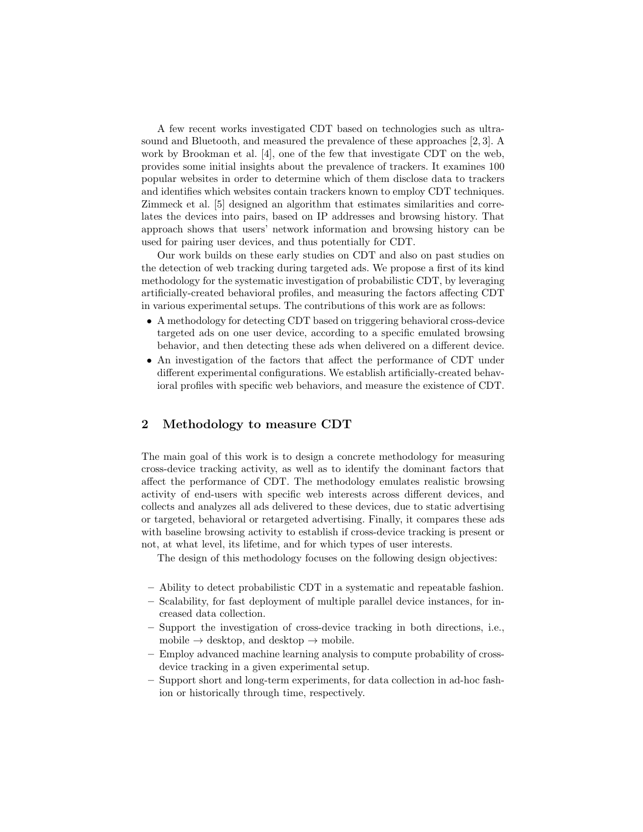A few recent works investigated CDT based on technologies such as ultrasound and Bluetooth, and measured the prevalence of these approaches [2, 3]. A work by Brookman et al. [4], one of the few that investigate CDT on the web, provides some initial insights about the prevalence of trackers. It examines 100 popular websites in order to determine which of them disclose data to trackers and identifies which websites contain trackers known to employ CDT techniques. Zimmeck et al. [5] designed an algorithm that estimates similarities and correlates the devices into pairs, based on IP addresses and browsing history. That approach shows that users' network information and browsing history can be used for pairing user devices, and thus potentially for CDT.

Our work builds on these early studies on CDT and also on past studies on the detection of web tracking during targeted ads. We propose a first of its kind methodology for the systematic investigation of probabilistic CDT, by leveraging artificially-created behavioral profiles, and measuring the factors affecting CDT in various experimental setups. The contributions of this work are as follows:

- A methodology for detecting CDT based on triggering behavioral cross-device targeted ads on one user device, according to a specific emulated browsing behavior, and then detecting these ads when delivered on a different device.
- An investigation of the factors that affect the performance of CDT under different experimental configurations. We establish artificially-created behavioral profiles with specific web behaviors, and measure the existence of CDT.

# 2 Methodology to measure CDT

The main goal of this work is to design a concrete methodology for measuring cross-device tracking activity, as well as to identify the dominant factors that affect the performance of CDT. The methodology emulates realistic browsing activity of end-users with specific web interests across different devices, and collects and analyzes all ads delivered to these devices, due to static advertising or targeted, behavioral or retargeted advertising. Finally, it compares these ads with baseline browsing activity to establish if cross-device tracking is present or not, at what level, its lifetime, and for which types of user interests.

The design of this methodology focuses on the following design objectives:

- Ability to detect probabilistic CDT in a systematic and repeatable fashion.
- Scalability, for fast deployment of multiple parallel device instances, for increased data collection.
- Support the investigation of cross-device tracking in both directions, i.e., mobile  $\rightarrow$  desktop, and desktop  $\rightarrow$  mobile.
- Employ advanced machine learning analysis to compute probability of crossdevice tracking in a given experimental setup.
- Support short and long-term experiments, for data collection in ad-hoc fashion or historically through time, respectively.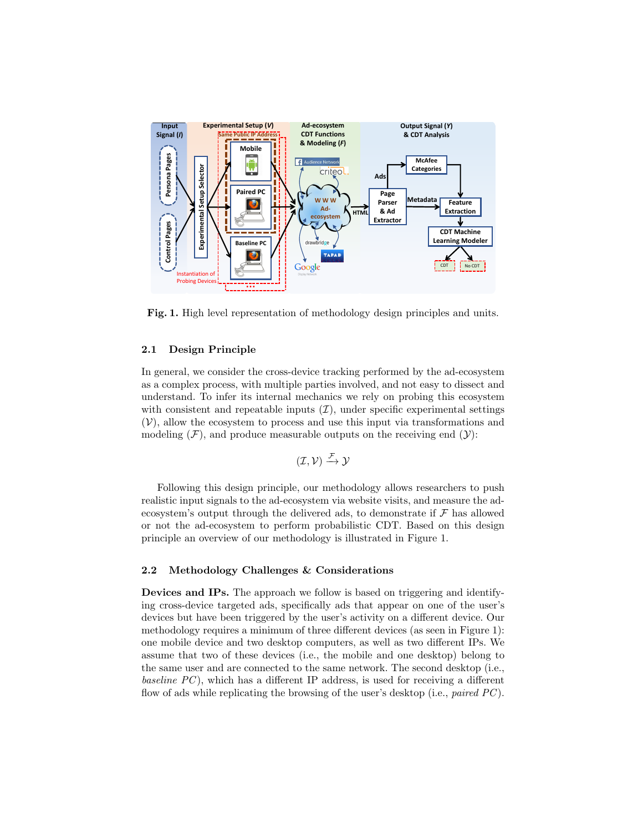

Fig. 1. High level representation of methodology design principles and units.

#### 2.1 Design Principle

In general, we consider the cross-device tracking performed by the ad-ecosystem as a complex process, with multiple parties involved, and not easy to dissect and understand. To infer its internal mechanics we rely on probing this ecosystem with consistent and repeatable inputs  $(\mathcal{I})$ , under specific experimental settings  $(V)$ , allow the ecosystem to process and use this input via transformations and modeling  $(F)$ , and produce measurable outputs on the receiving end  $(Y)$ :

$$
(\mathcal{I}, \mathcal{V}) \xrightarrow{\mathcal{F}} \mathcal{Y}
$$

Following this design principle, our methodology allows researchers to push realistic input signals to the ad-ecosystem via website visits, and measure the adecosystem's output through the delivered ads, to demonstrate if  $\mathcal F$  has allowed or not the ad-ecosystem to perform probabilistic CDT. Based on this design principle an overview of our methodology is illustrated in Figure 1.

#### 2.2 Methodology Challenges & Considerations

Devices and IPs. The approach we follow is based on triggering and identifying cross-device targeted ads, specifically ads that appear on one of the user's devices but have been triggered by the user's activity on a different device. Our methodology requires a minimum of three different devices (as seen in Figure 1): one mobile device and two desktop computers, as well as two different IPs. We assume that two of these devices (i.e., the mobile and one desktop) belong to the same user and are connected to the same network. The second desktop (i.e., baseline  $PC$ ), which has a different IP address, is used for receiving a different flow of ads while replicating the browsing of the user's desktop (i.e., paired PC ).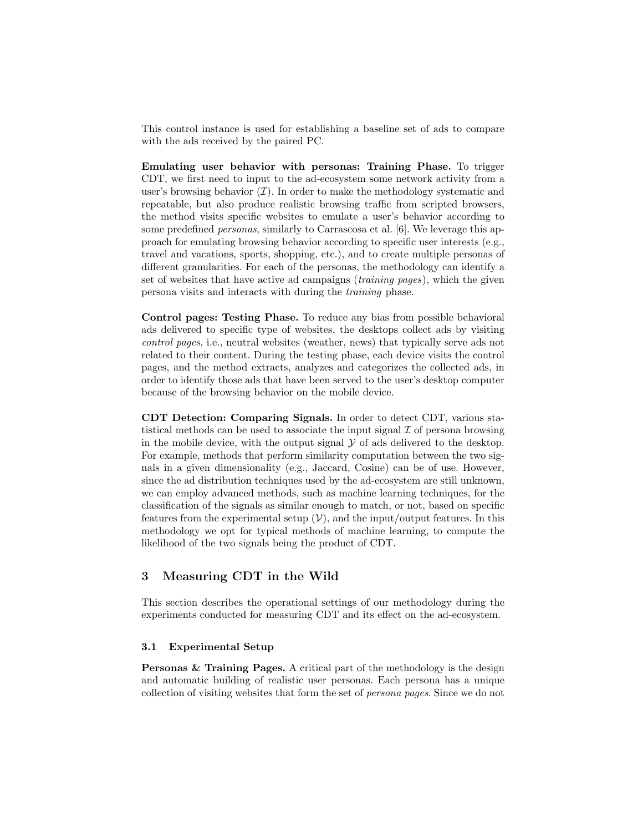This control instance is used for establishing a baseline set of ads to compare with the ads received by the paired PC.

Emulating user behavior with personas: Training Phase. To trigger CDT, we first need to input to the ad-ecosystem some network activity from a user's browsing behavior  $(\mathcal{I})$ . In order to make the methodology systematic and repeatable, but also produce realistic browsing traffic from scripted browsers, the method visits specific websites to emulate a user's behavior according to some predefined personas, similarly to Carrascosa et al. [6]. We leverage this approach for emulating browsing behavior according to specific user interests (e.g., travel and vacations, sports, shopping, etc.), and to create multiple personas of different granularities. For each of the personas, the methodology can identify a set of websites that have active ad campaigns (training pages), which the given persona visits and interacts with during the training phase.

Control pages: Testing Phase. To reduce any bias from possible behavioral ads delivered to specific type of websites, the desktops collect ads by visiting control pages, i.e., neutral websites (weather, news) that typically serve ads not related to their content. During the testing phase, each device visits the control pages, and the method extracts, analyzes and categorizes the collected ads, in order to identify those ads that have been served to the user's desktop computer because of the browsing behavior on the mobile device.

CDT Detection: Comparing Signals. In order to detect CDT, various statistical methods can be used to associate the input signal  $\mathcal I$  of persona browsing in the mobile device, with the output signal  $\mathcal Y$  of ads delivered to the desktop. For example, methods that perform similarity computation between the two signals in a given dimensionality (e.g., Jaccard, Cosine) can be of use. However, since the ad distribution techniques used by the ad-ecosystem are still unknown, we can employ advanced methods, such as machine learning techniques, for the classification of the signals as similar enough to match, or not, based on specific features from the experimental setup  $(V)$ , and the input/output features. In this methodology we opt for typical methods of machine learning, to compute the likelihood of the two signals being the product of CDT.

# 3 Measuring CDT in the Wild

This section describes the operational settings of our methodology during the experiments conducted for measuring CDT and its effect on the ad-ecosystem.

#### 3.1 Experimental Setup

Personas & Training Pages. A critical part of the methodology is the design and automatic building of realistic user personas. Each persona has a unique collection of visiting websites that form the set of persona pages. Since we do not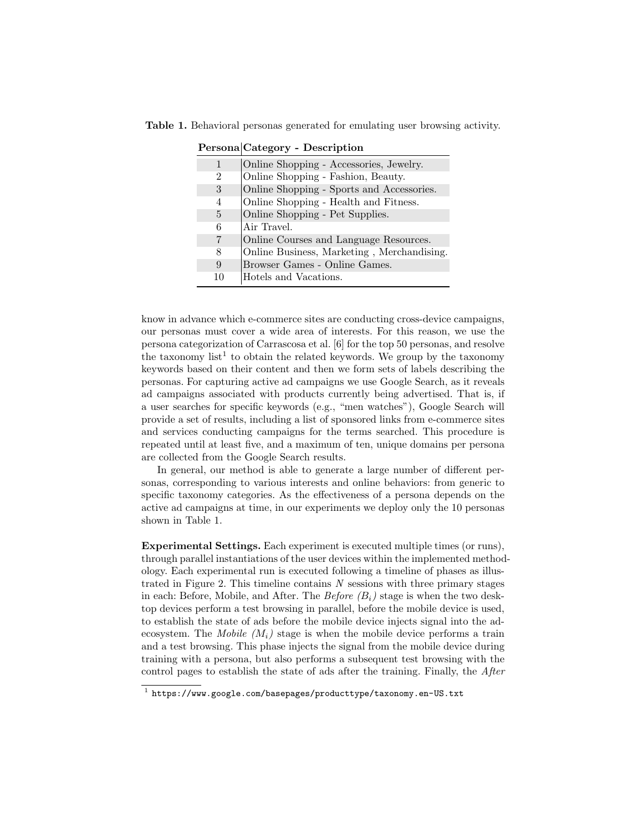Table 1. Behavioral personas generated for emulating user browsing activity.

|                | $\iota$ ersona $\iota$ category - Description |
|----------------|-----------------------------------------------|
| 1              | Online Shopping - Accessories, Jewelry.       |
| $\overline{2}$ | Online Shopping - Fashion, Beauty.            |
| 3              | Online Shopping - Sports and Accessories.     |
| 4              | Online Shopping - Health and Fitness.         |
| 5              | Online Shopping - Pet Supplies.               |
| 6              | Air Travel.                                   |
| 7              | Online Courses and Language Resources.        |
| 8              | Online Business, Marketing, Merchandising.    |
| 9              | Browser Games - Online Games.                 |
| 10             | Hotels and Vacations.                         |
|                |                                               |

Persona Category - Description

know in advance which e-commerce sites are conducting cross-device campaigns, our personas must cover a wide area of interests. For this reason, we use the persona categorization of Carrascosa et al. [6] for the top 50 personas, and resolve the taxonomy list<sup>1</sup> to obtain the related keywords. We group by the taxonomy keywords based on their content and then we form sets of labels describing the personas. For capturing active ad campaigns we use Google Search, as it reveals ad campaigns associated with products currently being advertised. That is, if a user searches for specific keywords (e.g., "men watches"), Google Search will provide a set of results, including a list of sponsored links from e-commerce sites and services conducting campaigns for the terms searched. This procedure is repeated until at least five, and a maximum of ten, unique domains per persona are collected from the Google Search results.

In general, our method is able to generate a large number of different personas, corresponding to various interests and online behaviors: from generic to specific taxonomy categories. As the effectiveness of a persona depends on the active ad campaigns at time, in our experiments we deploy only the 10 personas shown in Table 1.

Experimental Settings. Each experiment is executed multiple times (or runs), through parallel instantiations of the user devices within the implemented methodology. Each experimental run is executed following a timeline of phases as illustrated in Figure 2. This timeline contains N sessions with three primary stages in each: Before, Mobile, and After. The Before  $(B_i)$  stage is when the two desktop devices perform a test browsing in parallel, before the mobile device is used, to establish the state of ads before the mobile device injects signal into the adecosystem. The Mobile  $(M_i)$  stage is when the mobile device performs a train and a test browsing. This phase injects the signal from the mobile device during training with a persona, but also performs a subsequent test browsing with the control pages to establish the state of ads after the training. Finally, the After

 $^{\rm 1}$  https://www.google.com/basepages/producttype/taxonomy.en-US.txt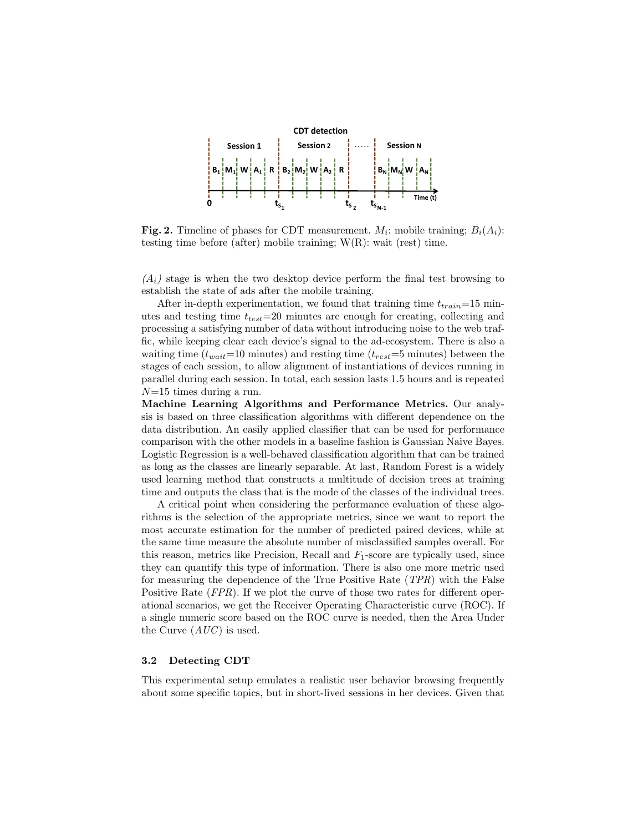

**Fig. 2.** Timeline of phases for CDT measurement.  $M_i$ : mobile training;  $B_i(A_i)$ : testing time before (after) mobile training;  $W(R)$ : wait (rest) time.

 $(A_i)$  stage is when the two desktop device perform the final test browsing to establish the state of ads after the mobile training.

After in-depth experimentation, we found that training time  $t_{train}$ =15 minutes and testing time  $t_{test}=20$  minutes are enough for creating, collecting and processing a satisfying number of data without introducing noise to the web traffic, while keeping clear each device's signal to the ad-ecosystem. There is also a waiting time ( $t_{wait}$ =10 minutes) and resting time ( $t_{rest}$ =5 minutes) between the stages of each session, to allow alignment of instantiations of devices running in parallel during each session. In total, each session lasts 1.5 hours and is repeated  $N=15$  times during a run.

Machine Learning Algorithms and Performance Metrics. Our analysis is based on three classification algorithms with different dependence on the data distribution. An easily applied classifier that can be used for performance comparison with the other models in a baseline fashion is Gaussian Naive Bayes. Logistic Regression is a well-behaved classification algorithm that can be trained as long as the classes are linearly separable. At last, Random Forest is a widely used learning method that constructs a multitude of decision trees at training time and outputs the class that is the mode of the classes of the individual trees.

A critical point when considering the performance evaluation of these algorithms is the selection of the appropriate metrics, since we want to report the most accurate estimation for the number of predicted paired devices, while at the same time measure the absolute number of misclassified samples overall. For this reason, metrics like Precision, Recall and  $F_1$ -score are typically used, since they can quantify this type of information. There is also one more metric used for measuring the dependence of the True Positive Rate (TPR) with the False Positive Rate (FPR). If we plot the curve of those two rates for different operational scenarios, we get the Receiver Operating Characteristic curve (ROC). If a single numeric score based on the ROC curve is needed, then the Area Under the Curve  $(AUC)$  is used.

#### 3.2 Detecting CDT

This experimental setup emulates a realistic user behavior browsing frequently about some specific topics, but in short-lived sessions in her devices. Given that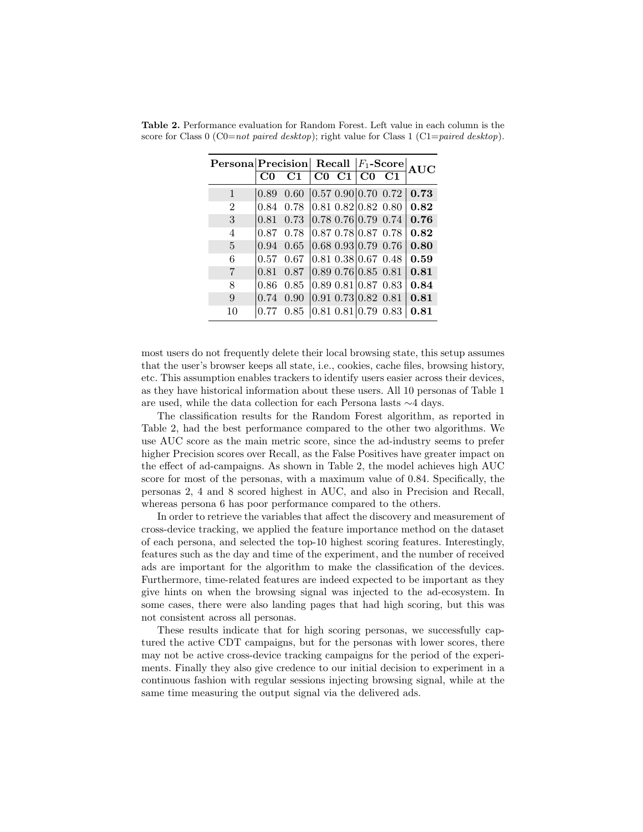|              | Persona Precision Recall $ F_1$ -Score |                     |  |  |                                       |  |      |
|--------------|----------------------------------------|---------------------|--|--|---------------------------------------|--|------|
|              |                                        | $\rm{C}0$ $\rm{C}1$ |  |  | $\overline{C0}$ C1 $\overline{C0}$ C1 |  |      |
| $\mathbf{1}$ | 0.89                                   | 0.60                |  |  | 0.57 0.90 0.70 0.72                   |  | 0.73 |
| 2            | 0.84                                   | 0.78                |  |  | 10.81 0.8210.82 0.80                  |  | 0.82 |
| 3            | 0.81                                   | 0.73                |  |  | $[0.78 \; 0.76]$ $0.79 \; 0.74$       |  | 0.76 |
| 4            | 0.87                                   | 0.78                |  |  | 10.87 0.7810.87 0.78                  |  | 0.82 |
| 5            | 0.94                                   | 0.65                |  |  | 10.68 0.93 0.79 0.76                  |  | 0.80 |
| 6            | 0.57                                   | 0.67                |  |  | $ 0.81\;0.38 0.67\;0.48$              |  | 0.59 |
| 7            | 0.81                                   | 0.87                |  |  | $0.89$ 0.76 0.85 0.81                 |  | 0.81 |
| 8            | 0.86                                   | 0.85                |  |  | 10.89 0.81 0.87 0.83                  |  | 0.84 |
| 9            | 0.74                                   | 0.90                |  |  | $ 0.91\;0.73 0.82\;0.81$              |  | 0.81 |
| 10           |                                        | 0.85                |  |  | $ 0.81\;0.81 0.79\;0.83$              |  | 0.81 |

Table 2. Performance evaluation for Random Forest. Left value in each column is the score for Class 0 (C0=not paired desktop); right value for Class 1 (C1=paired desktop).

most users do not frequently delete their local browsing state, this setup assumes that the user's browser keeps all state, i.e., cookies, cache files, browsing history, etc. This assumption enables trackers to identify users easier across their devices, as they have historical information about these users. All 10 personas of Table 1 are used, while the data collection for each Persona lasts ∼4 days.

The classification results for the Random Forest algorithm, as reported in Table 2, had the best performance compared to the other two algorithms. We use AUC score as the main metric score, since the ad-industry seems to prefer higher Precision scores over Recall, as the False Positives have greater impact on the effect of ad-campaigns. As shown in Table 2, the model achieves high AUC score for most of the personas, with a maximum value of 0.84. Specifically, the personas 2, 4 and 8 scored highest in AUC, and also in Precision and Recall, whereas persona 6 has poor performance compared to the others.

In order to retrieve the variables that affect the discovery and measurement of cross-device tracking, we applied the feature importance method on the dataset of each persona, and selected the top-10 highest scoring features. Interestingly, features such as the day and time of the experiment, and the number of received ads are important for the algorithm to make the classification of the devices. Furthermore, time-related features are indeed expected to be important as they give hints on when the browsing signal was injected to the ad-ecosystem. In some cases, there were also landing pages that had high scoring, but this was not consistent across all personas.

These results indicate that for high scoring personas, we successfully captured the active CDT campaigns, but for the personas with lower scores, there may not be active cross-device tracking campaigns for the period of the experiments. Finally they also give credence to our initial decision to experiment in a continuous fashion with regular sessions injecting browsing signal, while at the same time measuring the output signal via the delivered ads.